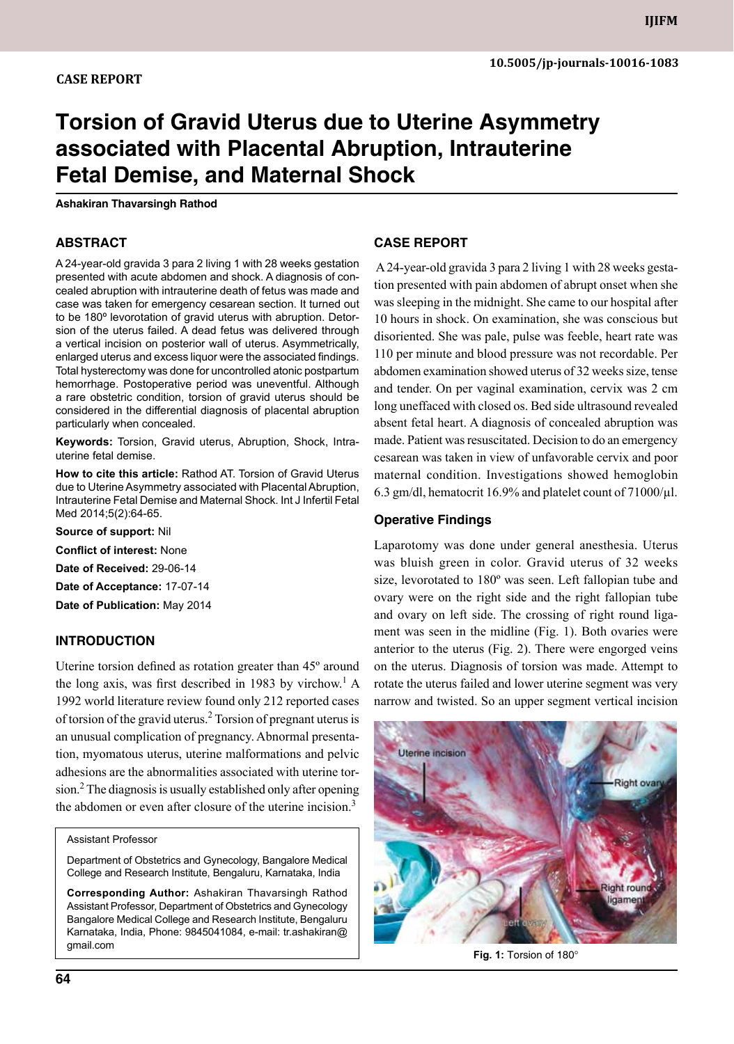# **Torsion of Gravid Uterus due to Uterine Asymmetry associated with Placental Abruption, Intrauterine Fetal Demise, and Maternal Shock**

**Ashakiran Thavarsingh Rathod**

#### **ABSTRACT**

A 24-year-old gravida 3 para 2 living 1 with 28 weeks gestation presented with acute abdomen and shock. A diagnosis of concealed abruption with intrauterine death of fetus was made and case was taken for emergency cesarean section. It turned out to be 180º levorotation of gravid uterus with abruption. Detorsion of the uterus failed. A dead fetus was delivered through a vertical incision on posterior wall of uterus. Asymmetrically, enlarged uterus and excess liquor were the associated findings. Total hysterectomy was done for uncontrolled atonic postpartum hemorrhage. Postoperative period was uneventful. Although a rare obstetric condition, torsion of gravid uterus should be considered in the differential diagnosis of placental abruption particularly when concealed.

**Keywords:** Torsion, Gravid uterus, Abruption, Shock, Intrauterine fetal demise.

**How to cite this article:** Rathod AT. Torsion of Gravid Uterus due to Uterine Asymmetry associated with Placental Abruption, Intrauterine Fetal Demise and Maternal Shock. Int J Infertil Fetal Med 2014;5(2):64-65.

**Source of support:** Nil

**Conflict of interest:** None

**Date of Received:** 29-06-14

**Date of Acceptance:** 17-07-14

**Date of Publication:** May 2014

### **Introduction**

Uterine torsion defined as rotation greater than 45º around the long axis, was first described in 1983 by virchow.<sup>1</sup> A 1992 world literature review found only 212 reported cases of torsion of the gravid uterus.<sup>2</sup> Torsion of pregnant uterus is an unusual complication of pregnancy. Abnormal presentation, myomatous uterus, uterine malformations and pelvic adhesions are the abnormalities associated with uterine torsion.<sup>2</sup> The diagnosis is usually established only after opening the abdomen or even after closure of the uterine incision.<sup>3</sup>

assistant professor

Department of Obstetrics and Gynecology, Bangalore Medical College and Research Institute, Bengaluru, Karnataka, India

**Corresponding Author:** Ashakiran Thavarsingh Rathod assistant Professor, Department of Obstetrics and Gynecology Bangalore Medical College and Research Institute, Bengaluru Karnataka, India, Phone: 9845041084, e-mail: tr.ashakiran@ gmail.com

## **Case report**

 A 24-year-old gravida 3 para 2 living 1 with 28 weeks gestation presented with pain abdomen of abrupt onset when she was sleeping in the midnight. She came to our hospital after 10 hours in shock. On examination, she was conscious but disoriented. She was pale, pulse was feeble, heart rate was 110 per minute and blood pressure was not recordable. Per abdomen examination showed uterus of 32 weeks size, tense and tender. On per vaginal examination, cervix was 2 cm long uneffaced with closed os. Bed side ultrasound revealed absent fetal heart. A diagnosis of concealed abruption was made. Patient was resuscitated. Decision to do an emergency cesarean was taken in view of unfavorable cervix and poor maternal condition. Investigations showed hemoglobin 6.3 gm/dl, hematocrit 16.9% and platelet count of 71000/µl.

#### **Operative findings**

laparotomy was done under general anesthesia. Uterus was bluish green in color. Gravid uterus of 32 weeks size, levorotated to 180º was seen. Left fallopian tube and ovary were on the right side and the right fallopian tube and ovary on left side. The crossing of right round ligament was seen in the midline (Fig. 1). Both ovaries were anterior to the uterus (Fig. 2). There were engorged veins on the uterus. Diagnosis of torsion was made. Attempt to rotate the uterus failed and lower uterine segment was very narrow and twisted. So an upper segment vertical incision



**Fig. 1:** Torsion of 180°